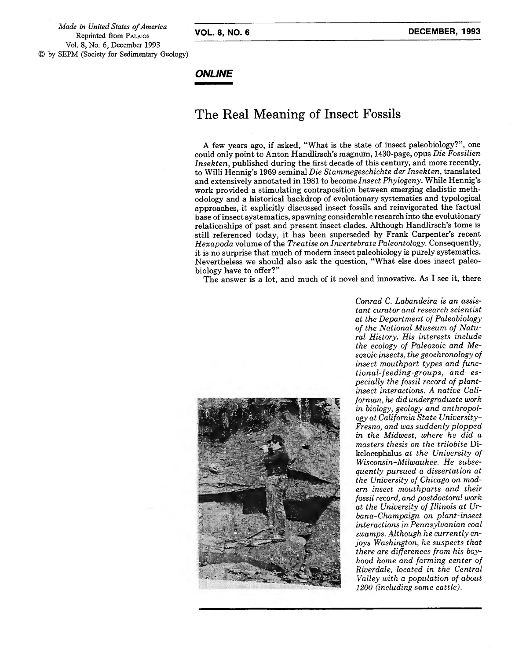*Made in United States ofAmerica* Reprinted from PALMOS Vol. 8, No. *6,* December 1993 by SEPM (Society for Sedimentary Geology)

## **ONLINE**

## The Real Meaning of Insect Fossils

A few years ago, if asked, "What is the state of insect paleobiology?", one could only point to Anton Handlirsch's magnum, 1430-page, opus *Die Fossilien Insekten,* published during the first decade of this century, and more recently, to Willi Hennig's 1969 seminal *Die Stammegeschichte der Insekten,* translated and extensively annotated in 1981 to become *Insect Phylogeny.* While Hennig's work provided a stimulating contraposition between emerging cladistic methodology and a historical backdrop of evolutionary systematics and typological approaches, it explicitly discussed insect fossils and reinvigorated the factual base ofinsect systematics, spawning considerable research into the evolutionary relationships of past and present insect clades. Although Handlirsch's tome is still referenced today, it has been superseded by Frank Carpenter's recent *Hexapoda* volume ofthe *Treatise on Invertebrate Paleontology.* Consequently, it is no surprise that much of modern insect paleobiology is purely systematics. Nevertheless we should also ask the question, "What else does insect paleobiology have to offer?"

The answer is a lot, and much of it novel and innovative. As I see it, there



*Conrad C. Labandeira is an assistant curator and research scientist at the Department of Paleobiology of the National Museum of Natural History. His interests include the ecology of Paleozoic and Mesozoic insects, the geochronology of insect mouthpart types and functional-feeding-groups, and especially the fossil record of plantinsect interactions. A native Californian, he did undergraduate work in biology, geology and anthropology at California State University-Fresno, and was suddenly plopped in the Midwest, where he did a masters thesis on the trilobite* Dikelocephalus *at the University of Wisconsin-Milwaukee. He subsequently pursued a dissertation at the University of Chicago on modern insect mouthparts and their fossil record, and postdoctoral work at the University of Illinois at Urbana-Champaign on plant-insect interactions in Pennsylvanian coal swamps. Although he currently enjoys Washington, he suspects that there are differences from his boyhood home and farming center of Riverdale, located in the Central Valley with a population of about 1200 (including some cattle).*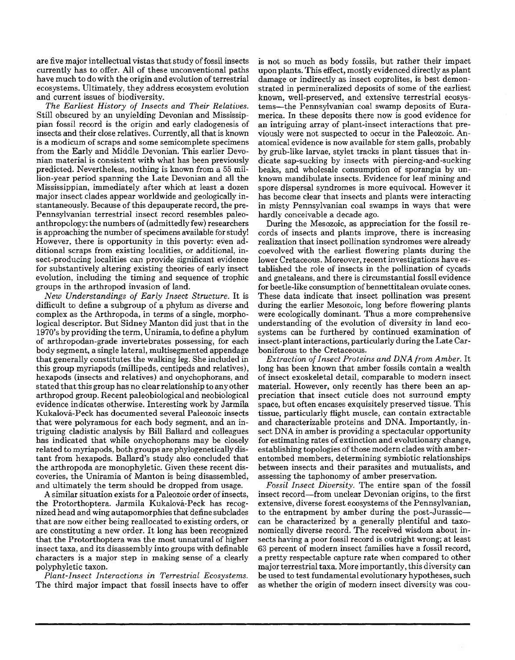are five major intellectual vistas that study of fossil insects currently has to offer. All of these unconventional paths have much to do with the origin and evolution of terrestrial ecosystems. Ultimately, they address ecosystem evolution and current issues of biodiversity.

*The Earliest History of Insects and Their Relatives.* Still obscured by an unyielding Devonian and Mississippian fossil record is the origin and early cladogenesis of insects and their close relatives. Currently, all that is known is a modicum of scraps and some semicomplete specimens from the Early and Middle Devonian. This earlier Devonian material is consistent with what has been previously predicted. Nevertheless, nothing is known from a 55 million-year period spanning the Late Devonian and all the Mississippian, immediately after which at least a dozen major insect clades appear worldwide and geologically instantaneously. Because of this depauperate record, the pre-Pennsylvanian terrestrial insect record resembles paleoanthropology:the numbers of (admittedly few) researchers is approaching the number of specimens available for study! However, there is opportunity in this poverty: even additional scraps from existing localities, or additional, insect-producing localities can provide significant evidence for substantively altering existing theories of early insect evolution, including the timing and sequence of trophic groups in the arthropod invasion of land.

*New Understandings of Early Insect Structure.* It is difficult to define a subgroup of a phylum as diverse and complex as the Arthropoda, in terms of a single, morphological descriptor. But Sidney Mantón did just that in the 1970's by providing the term, Uniramia, to define a phylum of arthropodan-grade invertebrates possessing, for each body segment, a single lateral, multisegmented appendage that generally constitutes the walking leg. She included in this group myriapods (millipeds, centipeds and relatives), hexapods (insects and relatives) and onychophorans, and stated that this group has no clear relationship to any other arthropod group. Recent paleobiological and neobiological evidence indicates otherwise. Interesting work by Jarmila Kukalová-Peck has documented several Paleozoic insects that were polyramous for each body segment, and an intriguing cladistic analysis by Bill Ballard and colleagues has indicated that while onychophorans may be closely related to myriapods, both groups are phylogenetically distant from hexapods. Ballard's study also concluded that the arthropoda are monophyletic. Given these recent discoveries, the Uniramia of Mantón is being disassembled, and ultimately the term should be dropped from usage.

A similar situation exists for a Paleozoic order of insects, the Protorthoptera. Jarmila Kukalová-Peck has recognized head and wing autapomorphiesthat define subclades that are now either being reallocated to existing orders, or are constituting a new order. It long has been recognized that the Protorthoptera was the most unnatural of higher insect taxa, and its disassembly into groups with definable characters is a major step in making sense of a clearly polyphyletic taxon.

*Plant-Insect Interactions in Terrestrial Ecosystems.* The third major impact that fossil insects have to offer is not so much as body fossils, but rather their impact upon plants. This effect, mostly evidenced directly as plant damage or indirectly as insect coprolites, is best demonstrated in permineralized deposits of some of the earliest known, well-preserved, and extensive terrestrial ecosystems-the Pennsylvanian coal swamp deposits of Euramerica. In these deposits there now is good evidence for an intriguing array of plant-insect interactions that previously were not suspected to occur in the Paleozoic. Anatomical evidence is now available for stem galls, probably by grub-like larvae, stylet tracks in plant tissues that indicate sap-sucking by insects with piercing-and-sucking beaks, and wholesale consumption of sporangia by unknown mandibulate insects. Evidence for leaf mining and spore dispersal syndromes is more equivocal. However it has become clear that insects and plants were interacting in misty Pennsylvanian coal swamps in ways that were hardly conceivable a decade ago.

During the Mesozoic, as appreciation for the fossil records of insects and plants improve, there is increasing realization that insect pollination syndromes were already coevolved with the earliest flowering plants during the lower Cretaceous. Moreover, recent investigations have established the role of insects in the pollination of cycads and gnetaleans, and there is circumstantial fossil evidence for beetle-like consumption of bennettitalean ovulate cones. These data indicate that insect pollination was present during the earlier Mesozoic, long before flowering plants were ecologically dominant. Thus a more comprehensive understanding of the evolution of diversity in land ecosystems can be furthered by continued examination of insect-plant interactions, particularly during the Late Carboniferous to the Cretaceous.

*Extraction ofInsect Proteins and DNA from Amber.* It long has been known that amber fossils contain a wealth of insect exoskeletal detail, comparable to modern insect material. However, only recently has there been an appreciation that insect cuticle does not surround empty space, but often encases exquisitely preserved tissue. This tissue, particularly flight muscle, can contain extractable and characterizable proteins and DNA. Importantly, insect DNA in amber is providing a spectacular opportunity for estimating rates of extinction and evolutionary change, establishing topologies of those modern clades with amberentombed members, determining symbiotic relationships between insects and their parasites and mutualists, and assessing the taphonomy of amber preservation.

*Fossil Insect Diversity.* The entire span of the fossil insect record—from unclear Devonian origins, to the first extensive, diverse forest ecosystems of the Pennsylvanian, to the entrapment by amber during the post-Jurassic- $$ can be characterized by a generally plentiful and taxonomically diverse record. The received wisdom about insects having a poor fossil record is outright wrong; at least 63 percent of modern insect families have a fossil record, a pretty respectable capture rate when compared to other major terrestrial taxa. More importantly, this diversity can be used to test fundamental evolutionary hypotheses, such as whether the origin of modern insect diversity was cou-